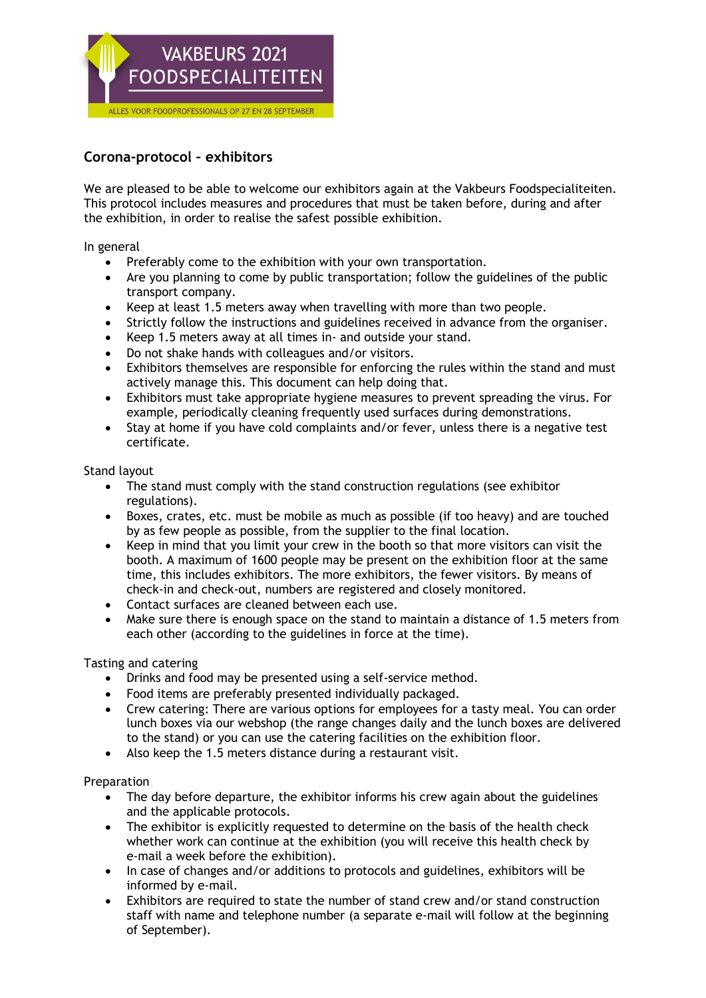

## **Corona-protocol – exhibitors**

We are pleased to be able to welcome our exhibitors again at the Vakbeurs Foodspecialiteiten. This protocol includes measures and procedures that must be taken before, during and after the exhibition, in order to realise the safest possible exhibition.

In general

- Preferably come to the exhibition with your own transportation.
- Are you planning to come by public transportation; follow the guidelines of the public transport company.
- Keep at least 1.5 meters away when travelling with more than two people.
- Strictly follow the instructions and guidelines received in advance from the organiser.
- Keep 1.5 meters away at all times in- and outside your stand.
- Do not shake hands with colleagues and/or visitors.
- Exhibitors themselves are responsible for enforcing the rules within the stand and must actively manage this. This document can help doing that.
- Exhibitors must take appropriate hygiene measures to prevent spreading the virus. For example, periodically cleaning frequently used surfaces during demonstrations.
- Stay at home if you have cold complaints and/or fever, unless there is a negative test certificate.

Stand layout

- The stand must comply with the stand construction regulations (see exhibitor regulations).
- Boxes, crates, etc. must be mobile as much as possible (if too heavy) and are touched by as few people as possible, from the supplier to the final location.
- Keep in mind that you limit your crew in the booth so that more visitors can visit the booth. A maximum of 1600 people may be present on the exhibition floor at the same time, this includes exhibitors. The more exhibitors, the fewer visitors. By means of check-in and check-out, numbers are registered and closely monitored.
- Contact surfaces are cleaned between each use.
- Make sure there is enough space on the stand to maintain a distance of 1.5 meters from each other (according to the guidelines in force at the time).

Tasting and catering

- Drinks and food may be presented using a self-service method.
- Food items are preferably presented individually packaged.
- Crew catering: There are various options for employees for a tasty meal. You can order lunch boxes via our webshop (the range changes daily and the lunch boxes are delivered to the stand) or you can use the catering facilities on the exhibition floor.
- Also keep the 1.5 meters distance during a restaurant visit.

Preparation

- The day before departure, the exhibitor informs his crew again about the guidelines and the applicable protocols.
- The exhibitor is explicitly requested to determine on the basis of the health check whether work can continue at the exhibition (you will receive this health check by e-mail a week before the exhibition).
- In case of changes and/or additions to protocols and guidelines, exhibitors will be informed by e-mail.
- Exhibitors are required to state the number of stand crew and/or stand construction staff with name and telephone number (a separate e-mail will follow at the beginning of September).